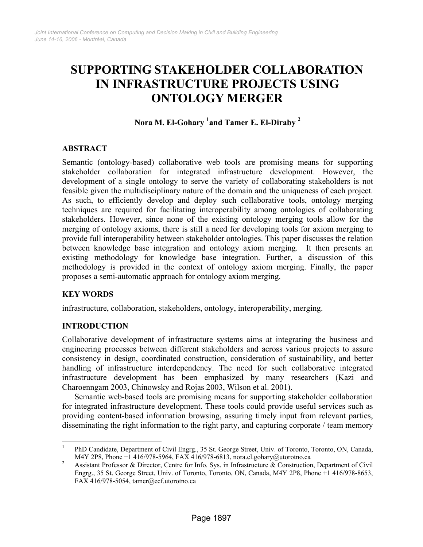# **SUPPORTING STAKEHOLDER COLLABORATION IN INFRASTRUCTURE PROJECTS USING ONTOLOGY MERGER**

## **Nora M. El-Gohary 1 and Tamer E. El-Diraby <sup>2</sup>**

## **ABSTRACT**

Semantic (ontology-based) collaborative web tools are promising means for supporting stakeholder collaboration for integrated infrastructure development. However, the development of a single ontology to serve the variety of collaborating stakeholders is not feasible given the multidisciplinary nature of the domain and the uniqueness of each project. As such, to efficiently develop and deploy such collaborative tools, ontology merging techniques are required for facilitating interoperability among ontologies of collaborating stakeholders. However, since none of the existing ontology merging tools allow for the merging of ontology axioms, there is still a need for developing tools for axiom merging to provide full interoperability between stakeholder ontologies. This paper discusses the relation between knowledge base integration and ontology axiom merging. It then presents an existing methodology for knowledge base integration. Further, a discussion of this methodology is provided in the context of ontology axiom merging. Finally, the paper proposes a semi-automatic approach for ontology axiom merging.

## **KEY WORDS**

infrastructure, collaboration, stakeholders, ontology, interoperability, merging.

## **INTRODUCTION**

Collaborative development of infrastructure systems aims at integrating the business and engineering processes between different stakeholders and across various projects to assure consistency in design, coordinated construction, consideration of sustainability, and better handling of infrastructure interdependency. The need for such collaborative integrated infrastructure development has been emphasized by many researchers (Kazi and Charoenngam 2003, Chinowsky and Rojas 2003, Wilson et al. 2001).

Semantic web-based tools are promising means for supporting stakeholder collaboration for integrated infrastructure development. These tools could provide useful services such as providing content-based information browsing, assuring timely input from relevant parties, disseminating the right information to the right party, and capturing corporate / team memory

 $\frac{1}{1}$  PhD Candidate, Department of Civil Engrg., 35 St. George Street, Univ. of Toronto, Toronto, ON, Canada, M4Y 2P8, Phone +1 416/978-5964, FAX 416/978-6813, nora.el.gohary@utorotno.ca

Assistant Professor & Director, Centre for Info. Sys. in Infrastructure & Construction, Department of Civil Engrg., 35 St. George Street, Univ. of Toronto, Toronto, ON, Canada, M4Y 2P8, Phone +1 416/978-8653, FAX 416/978-5054, tamer@ecf.utorotno.ca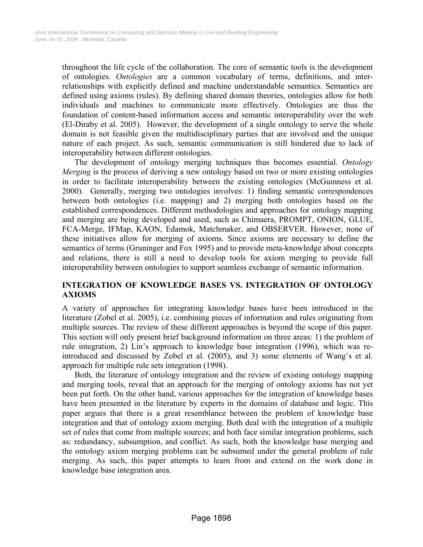throughout the life cycle of the collaboration. The core of semantic tools is the development of ontologies. *Ontologies* are a common vocabulary of terms, definitions, and interrelationships with explicitly defined and machine understandable semantics. Semantics are defined using axioms (rules). By defining shared domain theories, ontologies allow for both individuals and machines to communicate more effectively. Ontologies are thus the foundation of content-based information access and semantic interoperability over the web (El-Diraby et al. 2005). However, the development of a single ontology to serve the whole domain is not feasible given the multidisciplinary parties that are involved and the unique nature of each project. As such, semantic communication is still hindered due to lack of interoperability between different ontologies.

The development of ontology merging techniques thus becomes essential. *Ontology Merging* is the process of deriving a new ontology based on two or more existing ontologies in order to facilitate interoperability between the existing ontologies (McGuinness et al. 2000). Generally, merging two ontologies involves: 1) finding semantic correspondences between both ontologies (i.e. mapping) and 2) merging both ontologies based on the established correspondences. Different methodologies and approaches for ontology mapping and merging are being developed and used, such as Chimaera, PROMPT, ONION, GLUE, FCA-Merge, IFMap, KAON, Edamok, Matchmaker, and OBSERVER. However, none of these initiatives allow for merging of axioms. Since axioms are necessary to define the semantics of terms (Gruninger and Fox 1995) and to provide meta-knowledge about concepts and relations, there is still a need to develop tools for axiom merging to provide full interoperability between ontologies to support seamless exchange of semantic information.

## **INTEGRATION OF KNOWLEDGE BASES VS. INTEGRATION OF ONTOLOGY AXIOMS**

A variety of approaches for integrating knowledge bases have been introduced in the literature (Zobel et al. 2005), i.e. combining pieces of information and rules originating from multiple sources. The review of these different approaches is beyond the scope of this paper. This section will only present brief background information on three areas: 1) the problem of rule integration, 2) Lin's approach to knowledge base integration (1996), which was reintroduced and discussed by Zobel et al. (2005), and 3) some elements of Wang's et al. approach for multiple rule sets integration (1998).

Both, the literature of ontology integration and the review of existing ontology mapping and merging tools, reveal that an approach for the merging of ontology axioms has not yet been put forth. On the other hand, various approaches for the integration of knowledge bases have been presented in the literature by experts in the domains of database and logic. This paper argues that there is a great resemblance between the problem of knowledge base integration and that of ontology axiom merging. Both deal with the integration of a multiple set of rules that come from multiple sources; and both face similar integration problems, such as: redundancy, subsumption, and conflict. As such, both the knowledge base merging and the ontology axiom merging problems can be subsumed under the general problem of rule merging. As such, this paper attempts to learn from and extend on the work done in knowledge base integration area.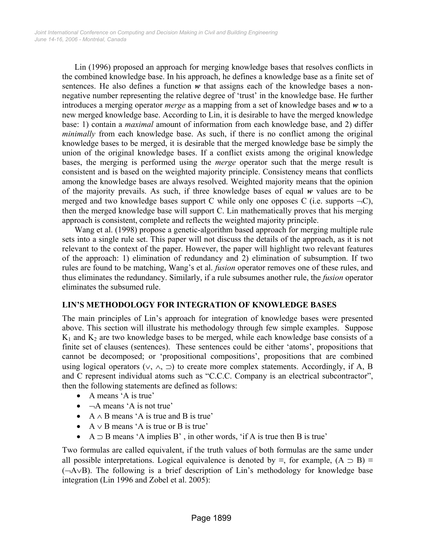Lin (1996) proposed an approach for merging knowledge bases that resolves conflicts in the combined knowledge base. In his approach, he defines a knowledge base as a finite set of sentences. He also defines a function *w* that assigns each of the knowledge bases a nonnegative number representing the relative degree of 'trust' in the knowledge base. He further introduces a merging operator *merge* as a mapping from a set of knowledge bases and *w* to a new merged knowledge base. According to Lin, it is desirable to have the merged knowledge base: 1) contain a *maximal* amount of information from each knowledge base, and 2) differ *minimally* from each knowledge base. As such, if there is no conflict among the original knowledge bases to be merged, it is desirable that the merged knowledge base be simply the union of the original knowledge bases. If a conflict exists among the original knowledge bases, the merging is performed using the *merge* operator such that the merge result is consistent and is based on the weighted majority principle. Consistency means that conflicts among the knowledge bases are always resolved. Weighted majority means that the opinion of the majority prevails. As such, if three knowledge bases of equal *w* values are to be merged and two knowledge bases support C while only one opposes C (i.e. supports  $\neg$ C), then the merged knowledge base will support C. Lin mathematically proves that his merging approach is consistent, complete and reflects the weighted majority principle.

Wang et al. (1998) propose a genetic-algorithm based approach for merging multiple rule sets into a single rule set. This paper will not discuss the details of the approach, as it is not relevant to the context of the paper. However, the paper will highlight two relevant features of the approach: 1) elimination of redundancy and 2) elimination of subsumption. If two rules are found to be matching, Wang's et al. *fusion* operator removes one of these rules, and thus eliminates the redundancy. Similarly, if a rule subsumes another rule, the *fusion* operator eliminates the subsumed rule.

## **LIN'S METHODOLOGY FOR INTEGRATION OF KNOWLEDGE BASES**

The main principles of Lin's approach for integration of knowledge bases were presented above. This section will illustrate his methodology through few simple examples. Suppose  $K_1$  and  $K_2$  are two knowledge bases to be merged, while each knowledge base consists of a finite set of clauses (sentences). These sentences could be either 'atoms', propositions that cannot be decomposed; or 'propositional compositions', propositions that are combined using logical operators ( $\vee$ ,  $\wedge$ ,  $\supset$ ) to create more complex statements. Accordingly, if A, B and C represent individual atoms such as "C.C.C. Company is an electrical subcontractor", then the following statements are defined as follows:

- A means 'A is true'
- $\bullet$   $\neg A$  means 'A is not true'
- $A \wedge B$  means 'A is true and B is true'
- $A \vee B$  means 'A is true or B is true'
- $A \supset B$  means 'A implies B', in other words, 'if A is true then B is true'

Two formulas are called equivalent, if the truth values of both formulas are the same under all possible interpretations. Logical equivalence is denoted by  $\equiv$ , for example,  $(A \supset B) \equiv$ (¬A∨B). The following is a brief description of Lin's methodology for knowledge base integration (Lin 1996 and Zobel et al. 2005):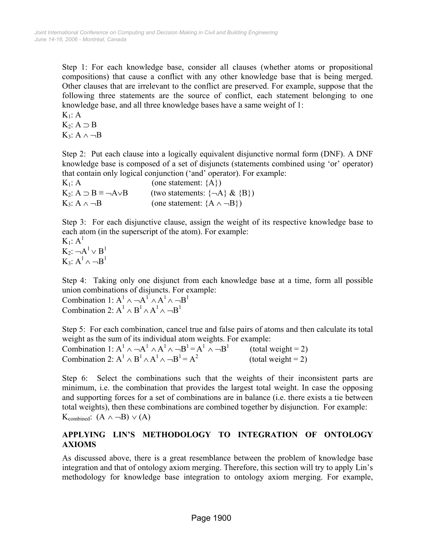Step 1: For each knowledge base, consider all clauses (whether atoms or propositional compositions) that cause a conflict with any other knowledge base that is being merged. Other clauses that are irrelevant to the conflict are preserved. For example, suppose that the following three statements are the source of conflict, each statement belonging to one knowledge base, and all three knowledge bases have a same weight of 1:

 $K_1: A$  $K_2$ :  $A \supset B$  $K_3$ : A  $\wedge \neg B$ 

Step 2: Put each clause into a logically equivalent disjunctive normal form (DNF). A DNF knowledge base is composed of a set of disjuncts (statements combined using 'or' operator) that contain only logical conjunction ('and' operator). For example:

 $K_1$ : A (one statement:  ${A}$ ) K<sub>2</sub>: A ⊃ B ≡ ¬A∨B (two statements:  $\{\neg A\} \& \{B\}$ )  $K_3$ : A  $\land \neg B$  (one statement:  $\{A \land \neg B\}$ )

Step 3: For each disjunctive clause, assign the weight of its respective knowledge base to each atom (in the superscript of the atom). For example:

 $K_1$ :  $A^1$  $K_2: \neg A^1 \vee B^1$  $K_3$ :  $A^1 \wedge \neg B^1$ 

Step 4: Taking only one disjunct from each knowledge base at a time, form all possible union combinations of disjuncts. For example:

Combination 1:  $A^1 \wedge \neg A^1 \wedge A^1 \wedge \neg B^1$ Combination 2:  $A^1 \wedge B^1 \wedge A^1 \wedge \neg B^1$ 

Step 5: For each combination, cancel true and false pairs of atoms and then calculate its total weight as the sum of its individual atom weights. For example:

Combination 1:  $A^1 \wedge \neg A^1 \wedge A^1 \wedge \neg B^1 = A^1$  $(total weight = 2)$ Combination 2:  $A^1 \wedge B^1 \wedge A^1$  $(total weight = 2)$ 

Step 6: Select the combinations such that the weights of their inconsistent parts are minimum, i.e. the combination that provides the largest total weight. In case the opposing and supporting forces for a set of combinations are in balance (i.e. there exists a tie between total weights), then these combinations are combined together by disjunction. For example:  $K_{\text{combined}}$ :  $(A \land \neg B) \lor (A)$ 

## **APPLYING LIN'S METHODOLOGY TO INTEGRATION OF ONTOLOGY AXIOMS**

As discussed above, there is a great resemblance between the problem of knowledge base integration and that of ontology axiom merging. Therefore, this section will try to apply Lin's methodology for knowledge base integration to ontology axiom merging. For example,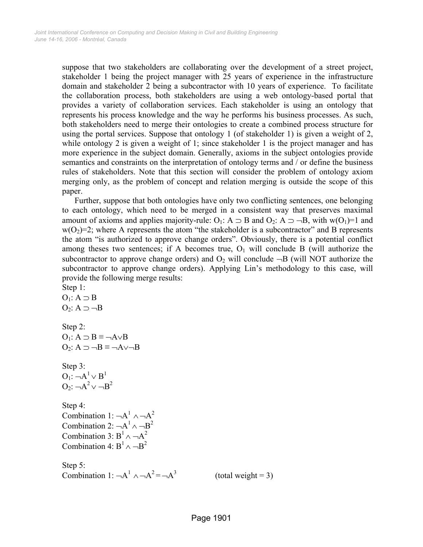suppose that two stakeholders are collaborating over the development of a street project, stakeholder 1 being the project manager with 25 years of experience in the infrastructure domain and stakeholder 2 being a subcontractor with 10 years of experience. To facilitate the collaboration process, both stakeholders are using a web ontology-based portal that provides a variety of collaboration services. Each stakeholder is using an ontology that represents his process knowledge and the way he performs his business processes. As such, both stakeholders need to merge their ontologies to create a combined process structure for using the portal services. Suppose that ontology 1 (of stakeholder 1) is given a weight of 2, while ontology 2 is given a weight of 1; since stakeholder 1 is the project manager and has more experience in the subject domain. Generally, axioms in the subject ontologies provide semantics and constraints on the interpretation of ontology terms and / or define the business rules of stakeholders. Note that this section will consider the problem of ontology axiom merging only, as the problem of concept and relation merging is outside the scope of this paper.

Further, suppose that both ontologies have only two conflicting sentences, one belonging to each ontology, which need to be merged in a consistent way that preserves maximal amount of axioms and applies majority-rule: O<sub>1</sub>: A  $\supset$  B and O<sub>2</sub>: A  $\supset$  --B, with w(O<sub>1</sub>)=1 and  $w(O_2)=2$ ; where A represents the atom "the stakeholder is a subcontractor" and B represents the atom "is authorized to approve change orders". Obviously, there is a potential conflict among theses two sentences; if A becomes true,  $O<sub>1</sub>$  will conclude B (will authorize the subcontractor to approve change orders) and  $O_2$  will conclude  $\neg B$  (will NOT authorize the subcontractor to approve change orders). Applying Lin's methodology to this case, will provide the following merge results:

Step 1:  $O_1$ :  $A \supset B$  $O_2$ : A  $\supset \neg B$ Step 2:  $O_1$ :  $A \supset B \equiv \neg A \vee B$  $O_2$ :  $A \supset \neg B \equiv \neg A \vee \neg B$ Step 3:  $O_1$ :  $\neg A^1 \vee B^1$  $O_2$ :  $\neg A^2 \vee \neg B^2$ Step 4: Combination 1:  $\neg A^1 \wedge \neg A^2$ Combination 2:  $\neg A^1 \wedge \neg B^2$ Combination 3:  $B^1 \wedge \neg A^2$ Combination 4:  $B^1 \wedge \neg B^2$ Step 5: Combination 1:  $\neg A^1 \wedge \neg A^2 = \neg A^3$ 

 $(total weight = 3)$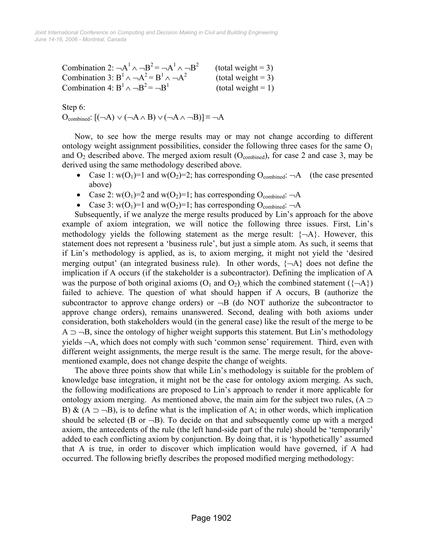Combination 2:  $\neg A^1 \wedge \neg B^2 = \neg A^1$  $(total weight = 3)$ Combination 3:  $B^1 \wedge \neg A^2 = B^1$  $(total weight = 3)$ Combination 4:  $B^1 \wedge \neg B^2$  $(total weight = 1)$ 

Step 6:

 $O_{\text{combined}}$ :  $[$ (¬A) ∨ (¬A ∧ B) ∨ (¬A ∧ ¬B)] $\equiv$  ¬A

Now, to see how the merge results may or may not change according to different ontology weight assignment possibilities, consider the following three cases for the same  $O<sub>1</sub>$ and  $O_2$  described above. The merged axiom result ( $O_{\text{combined}}$ ), for case 2 and case 3, may be derived using the same methodology described above.

- Case 1:  $w(O_1)=1$  and  $w(O_2)=2$ ; has corresponding  $O_{\text{combined}}$ :  $\neg A$  (the case presented above)
- Case 2:  $w(O_1)=2$  and  $w(O_2)=1$ ; has corresponding  $O_{\text{combined}}$ :  $\neg A$
- Case 3:  $w(O_1)=1$  and  $w(O_2)=1$ ; has corresponding  $O_{\text{combined}}$ :  $\neg A$

Subsequently, if we analyze the merge results produced by Lin's approach for the above example of axiom integration, we will notice the following three issues. First, Lin's methodology yields the following statement as the merge result:  $\{\neg A\}$ . However, this statement does not represent a 'business rule', but just a simple atom. As such, it seems that if Lin's methodology is applied, as is, to axiom merging, it might not yield the 'desired merging output' (an integrated business rule). In other words,  $\{\neg A\}$  does not define the implication if A occurs (if the stakeholder is a subcontractor). Defining the implication of A was the purpose of both original axioms  $(O_1 \text{ and } O_2)$ , which the combined statement  $({\neg A})$ failed to achieve. The question of what should happen if A occurs, B (authorize the subcontractor to approve change orders) or  $\neg B$  (do NOT authorize the subcontractor to approve change orders), remains unanswered. Second, dealing with both axioms under consideration, both stakeholders would (in the general case) like the result of the merge to be  $A \supset -B$ , since the ontology of higher weight supports this statement. But Lin's methodology yields ¬A, which does not comply with such 'common sense' requirement. Third, even with different weight assignments, the merge result is the same. The merge result, for the abovementioned example, does not change despite the change of weights.

The above three points show that while Lin's methodology is suitable for the problem of knowledge base integration, it might not be the case for ontology axiom merging. As such, the following modifications are proposed to Lin's approach to render it more applicable for ontology axiom merging. As mentioned above, the main aim for the subject two rules,  $(A \supset$ B) & (A  $\supset$  -B), is to define what is the implication of A; in other words, which implication should be selected (B or  $\neg B$ ). To decide on that and subsequently come up with a merged axiom, the antecedents of the rule (the left hand-side part of the rule) should be 'temporarily' added to each conflicting axiom by conjunction. By doing that, it is 'hypothetically' assumed that A is true, in order to discover which implication would have governed, if A had occurred. The following briefly describes the proposed modified merging methodology: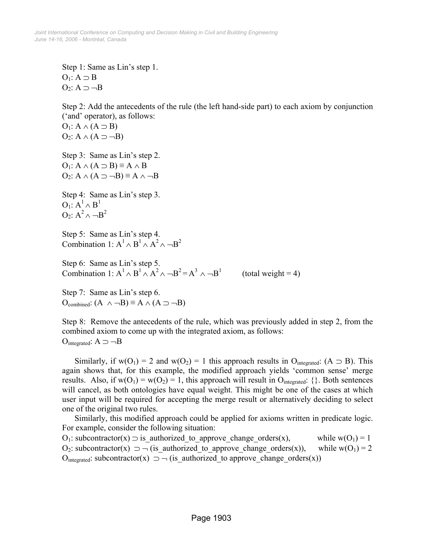Step 1: Same as Lin's step 1.  $O_1$ :  $A \supset B$  $O_2$ :  $A \supset \neg B$ 

Step 2: Add the antecedents of the rule (the left hand-side part) to each axiom by conjunction ('and' operator), as follows:

 $O<sub>1</sub>: A \wedge (A \supset B)$  $O_2$ : A  $\wedge$  (A  $\supset \neg B$ )

Step 3: Same as Lin's step 2.  $O_1$ :  $A \wedge (A \supset B) \equiv A \wedge B$  $O_2$ : A  $\wedge$  (A  $\supset \neg B$ )  $\equiv$  A  $\wedge \neg B$ 

Step 4: Same as Lin's step 3.  $O_1$ :  $A^1 \wedge B^1$ O<sub>2</sub>:  $A^2 \wedge \neg B^2$ 

Step 5: Same as Lin's step 4. Combination 1:  $A^1 \wedge B^1 \wedge A^2 \wedge \neg B^2$ 

Step 6: Same as Lin's step 5. Combination 1:  $A^1 \wedge B^1 \wedge A^2 \wedge \neg B^2 = A^3 \wedge \neg B^1$  (total weight = 4)

Step 7: Same as Lin's step 6.  $O_{\text{combined}}$ :  $(A \land \neg B) \equiv A \land (A \supset \neg B)$ 

Step 8: Remove the antecedents of the rule, which was previously added in step 2, from the combined axiom to come up with the integrated axiom, as follows: Ointegrated:  $A \supset \neg B$ 

Similarly, if  $w(O_1) = 2$  and  $w(O_2) = 1$  this approach results in  $O_{\text{integrated}}$ : (A  $\supset$  B). This again shows that, for this example, the modified approach yields 'common sense' merge results. Also, if  $w(O_1) = w(O_2) = 1$ , this approach will result in  $O_{\text{integrated}}$ : {}. Both sentences will cancel, as both ontologies have equal weight. This might be one of the cases at which user input will be required for accepting the merge result or alternatively deciding to select one of the original two rules.

Similarly, this modified approach could be applied for axioms written in predicate logic. For example, consider the following situation:

O<sub>1</sub>: subcontractor(x)  $\supset$  is authorized to approve change orders(x), while w(O<sub>1</sub>) = 1 O<sub>2</sub>: subcontractor(x)  $\supset$   $\neg$  (is authorized to approve change orders(x)), while w(O<sub>1</sub>) = 2 O<sub>integrated</sub>: subcontractor(x)  $\supset$  - (is\_authorized to approve change orders(x))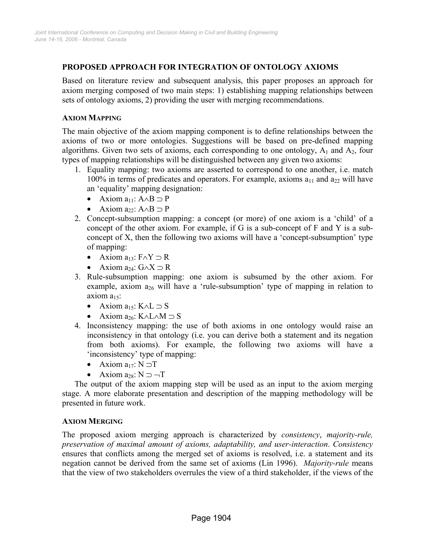## **PROPOSED APPROACH FOR INTEGRATION OF ONTOLOGY AXIOMS**

Based on literature review and subsequent analysis, this paper proposes an approach for axiom merging composed of two main steps: 1) establishing mapping relationships between sets of ontology axioms, 2) providing the user with merging recommendations.

#### **AXIOM MAPPING**

The main objective of the axiom mapping component is to define relationships between the axioms of two or more ontologies. Suggestions will be based on pre-defined mapping algorithms. Given two sets of axioms, each corresponding to one ontology,  $A_1$  and  $A_2$ , four types of mapping relationships will be distinguished between any given two axioms:

- 1. Equality mapping: two axioms are asserted to correspond to one another, i.e. match 100% in terms of predicates and operators. For example, axioms  $a_{11}$  and  $a_{22}$  will have an 'equality' mapping designation:
	- Axiom  $a_{11}$ :  $A \wedge B \supset P$
	- Axiom  $a_{22}$ : A $\wedge$ B  $\supset$  P
- 2. Concept-subsumption mapping: a concept (or more) of one axiom is a 'child' of a concept of the other axiom. For example, if G is a sub-concept of F and Y is a subconcept of X, then the following two axioms will have a 'concept-subsumption' type of mapping:
	- Axiom  $a_{13}$ :  $F \wedge Y \supset R$
	- Axiom  $a_{24}$ : G∧X  $\supset R$
- 3. Rule-subsumption mapping: one axiom is subsumed by the other axiom. For example, axiom  $a_{26}$  will have a 'rule-subsumption' type of mapping in relation to axiom  $a_{15}$ :
	- Axiom  $a_{15}$ : K∧L  $\supset S$
	- Axiom  $a_{26}$ : K∧L∧M  $\supset S$
- 4. Inconsistency mapping: the use of both axioms in one ontology would raise an inconsistency in that ontology (i.e. you can derive both a statement and its negation from both axioms). For example, the following two axioms will have a 'inconsistency' type of mapping:
	- Axiom  $a_{17}$ : N  $\neg$ T
	- Axiom  $a_{28}$ : N  $\supset$   $\neg$ T

The output of the axiom mapping step will be used as an input to the axiom merging stage. A more elaborate presentation and description of the mapping methodology will be presented in future work.

## **AXIOM MERGING**

The proposed axiom merging approach is characterized by *consistency*, *majority-rule, preservation of maximal amount of axioms, adaptability, and user-interaction*. *Consistency* ensures that conflicts among the merged set of axioms is resolved, i.e. a statement and its negation cannot be derived from the same set of axioms (Lin 1996). *Majority-rule* means that the view of two stakeholders overrules the view of a third stakeholder, if the views of the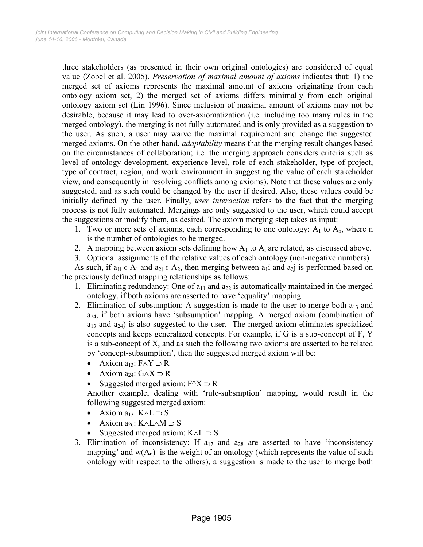three stakeholders (as presented in their own original ontologies) are considered of equal value (Zobel et al. 2005). *Preservation of maximal amount of axioms* indicates that: 1) the merged set of axioms represents the maximal amount of axioms originating from each ontology axiom set, 2) the merged set of axioms differs minimally from each original ontology axiom set (Lin 1996). Since inclusion of maximal amount of axioms may not be desirable, because it may lead to over-axiomatization (i.e. including too many rules in the merged ontology), the merging is not fully automated and is only provided as a suggestion to the user. As such, a user may waive the maximal requirement and change the suggested merged axioms. On the other hand, *adaptability* means that the merging result changes based on the circumstances of collaboration; i.e. the merging approach considers criteria such as level of ontology development, experience level, role of each stakeholder, type of project, type of contract, region, and work environment in suggesting the value of each stakeholder view, and consequently in resolving conflicts among axioms). Note that these values are only suggested, and as such could be changed by the user if desired. Also, these values could be initially defined by the user. Finally, *user interaction* refers to the fact that the merging process is not fully automated. Mergings are only suggested to the user, which could accept the suggestions or modify them, as desired. The axiom merging step takes as input:

- 1. Two or more sets of axioms, each corresponding to one ontology:  $A_1$  to  $A_n$ , where n is the number of ontologies to be merged.
- 2. A mapping between axiom sets defining how  $A_1$  to  $A_i$  are related, as discussed above.

3. Optional assignments of the relative values of each ontology (non-negative numbers). As such, if  $a_{1i} \in A_1$  and  $a_{2i} \in A_2$ , then merging between  $a_1i$  and  $a_2j$  is performed based on

the previously defined mapping relationships as follows:

- 1. Eliminating redundancy: One of  $a_{11}$  and  $a_{22}$  is automatically maintained in the merged ontology, if both axioms are asserted to have 'equality' mapping.
- 2. Elimination of subsumption: A suggestion is made to the user to merge both  $a_{13}$  and a24, if both axioms have 'subsumption' mapping. A merged axiom (combination of  $a_{13}$  and  $a_{24}$ ) is also suggested to the user. The merged axiom eliminates specialized concepts and keeps generalized concepts. For example, if G is a sub-concept of F, Y is a sub-concept of X, and as such the following two axioms are asserted to be related by 'concept-subsumption', then the suggested merged axiom will be:
	- Axiom  $a_{13}$ :  $F \wedge Y \supset R$
	- Axiom a<sub>24</sub>:  $G \wedge X \supset R$
	- Suggested merged axiom:  $F^{\wedge}X \supset R$

Another example, dealing with 'rule-subsmption' mapping, would result in the following suggested merged axiom:

- Axiom  $a_{15}$ : K∧L  $\supset S$
- Axiom  $a_{26}$ : K∧L∧M  $\supset S$
- Suggested merged axiom:  $K \wedge L \supset S$
- 3. Elimination of inconsistency: If  $a_{17}$  and  $a_{28}$  are asserted to have 'inconsistency mapping' and  $w(A_n)$  is the weight of an ontology (which represents the value of such ontology with respect to the others), a suggestion is made to the user to merge both